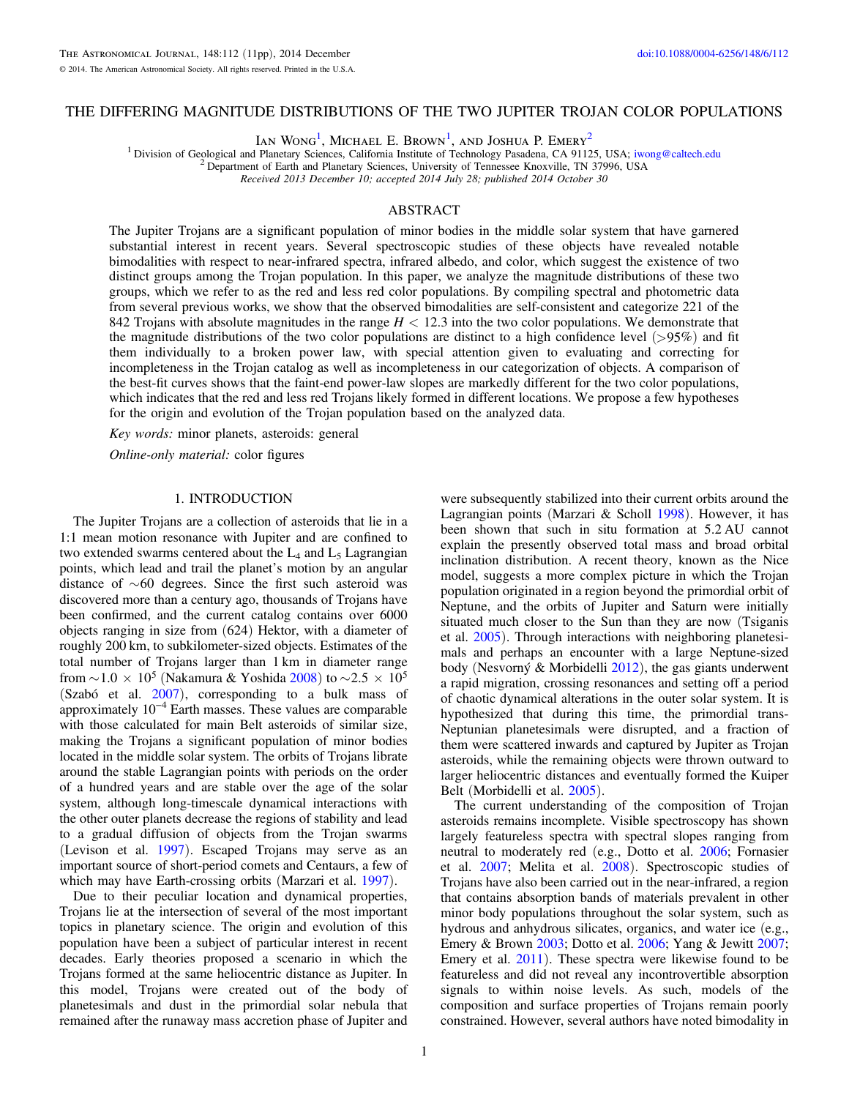Ian Wong<sup>1</sup>, Michael E. Brown<sup>1</sup>, and Joshua P. Emery<sup>2</sup>

<sup>1</sup> Division of Geological and Planetary Sciences, California Institute of Technology Pasadena, CA 91125, USA; [iwong@caltech.edu](mailto:iwong@caltech.edu) <sup>2</sup> Department of Earth and Planetary Sciences, University of Tennessee Knoxville, TN 37996,

Received 2013 December 10; accepted 2014 July 28; published 2014 October 30

# ABSTRACT

The Jupiter Trojans are a significant population of minor bodies in the middle solar system that have garnered substantial interest in recent years. Several spectroscopic studies of these objects have revealed notable bimodalities with respect to near-infrared spectra, infrared albedo, and color, which suggest the existence of two distinct groups among the Trojan population. In this paper, we analyze the magnitude distributions of these two groups, which we refer to as the red and less red color populations. By compiling spectral and photometric data from several previous works, we show that the observed bimodalities are self-consistent and categorize 221 of the 842 Trojans with absolute magnitudes in the range  $H < 12.3$  into the two color populations. We demonstrate that the magnitude distributions of the two color populations are distinct to a high confidence level  $(>95%)$  and fit them individually to a broken power law, with special attention given to evaluating and correcting for incompleteness in the Trojan catalog as well as incompleteness in our categorization of objects. A comparison of the best-fit curves shows that the faint-end power-law slopes are markedly different for the two color populations, which indicates that the red and less red Trojans likely formed in different locations. We propose a few hypotheses for the origin and evolution of the Trojan population based on the analyzed data.

Key words: minor planets, asteroids: general

Online-only material: color figures

## 1. INTRODUCTION

The Jupiter Trojans are a collection of asteroids that lie in a 1:1 mean motion resonance with Jupiter and are confined to two extended swarms centered about the  $L_4$  and  $L_5$  Lagrangian points, which lead and trail the planet's motion by an angular distance of  $\sim 60$  degrees. Since the first such asteroid was discovered more than a century ago, thousands of Trojans have been confirmed, and the current catalog contains over 6000 objects ranging in size from (624) Hektor, with a diameter of roughly 200 km, to subkilometer-sized objects. Estimates of the total number of Trojans larger than 1 km in diameter range from  $\sim$  1.0  $\times$  10<sup>5</sup> (Nakamura & Yoshida [2008](#page-10-0)) to  $\sim$  2.5  $\times$  10<sup>5</sup> (Szabó et al.  $2007$ ), corresponding to a bulk mass of approximately 10−<sup>4</sup> Earth masses. These values are comparable with those calculated for main Belt asteroids of similar size, making the Trojans a significant population of minor bodies located in the middle solar system. The orbits of Trojans librate around the stable Lagrangian points with periods on the order of a hundred years and are stable over the age of the solar system, although long-timescale dynamical interactions with the other outer planets decrease the regions of stability and lead to a gradual diffusion of objects from the Trojan swarms (Levison et al. [1997](#page-10-0)). Escaped Trojans may serve as an important source of short-period comets and Centaurs, a few of which may have Earth-crossing orbits (Marzari et al. [1997](#page-10-0)).

Due to their peculiar location and dynamical properties, Trojans lie at the intersection of several of the most important topics in planetary science. The origin and evolution of this population have been a subject of particular interest in recent decades. Early theories proposed a scenario in which the Trojans formed at the same heliocentric distance as Jupiter. In this model, Trojans were created out of the body of planetesimals and dust in the primordial solar nebula that remained after the runaway mass accretion phase of Jupiter and

were subsequently stabilized into their current orbits around the Lagrangian points (Marzari & Scholl [1998](#page-10-0)). However, it has been shown that such in situ formation at 5.2 AU cannot explain the presently observed total mass and broad orbital inclination distribution. A recent theory, known as the Nice model, suggests a more complex picture in which the Trojan population originated in a region beyond the primordial orbit of Neptune, and the orbits of Jupiter and Saturn were initially situated much closer to the Sun than they are now (Tsiganis et al. [2005](#page-10-0)). Through interactions with neighboring planetesimals and perhaps an encounter with a large Neptune-sized body (Nesvorný & Morbidelli [2012](#page-10-0)), the gas giants underwent a rapid migration, crossing resonances and setting off a period of chaotic dynamical alterations in the outer solar system. It is hypothesized that during this time, the primordial trans-Neptunian planetesimals were disrupted, and a fraction of them were scattered inwards and captured by Jupiter as Trojan asteroids, while the remaining objects were thrown outward to larger heliocentric distances and eventually formed the Kuiper Belt (Morbidelli et al. [2005](#page-10-0)).

The current understanding of the composition of Trojan asteroids remains incomplete. Visible spectroscopy has shown largely featureless spectra with spectral slopes ranging from neutral to moderately red (e.g., Dotto et al. [2006;](#page-10-0) Fornasier et al. [2007](#page-10-0); Melita et al. [2008](#page-10-0)). Spectroscopic studies of Trojans have also been carried out in the near-infrared, a region that contains absorption bands of materials prevalent in other minor body populations throughout the solar system, such as hydrous and anhydrous silicates, organics, and water ice (e.g., Emery & Brown [2003](#page-10-0); Dotto et al. [2006;](#page-10-0) Yang & Jewitt [2007](#page-10-0); Emery et al. [2011](#page-10-0)). These spectra were likewise found to be featureless and did not reveal any incontrovertible absorption signals to within noise levels. As such, models of the composition and surface properties of Trojans remain poorly constrained. However, several authors have noted bimodality in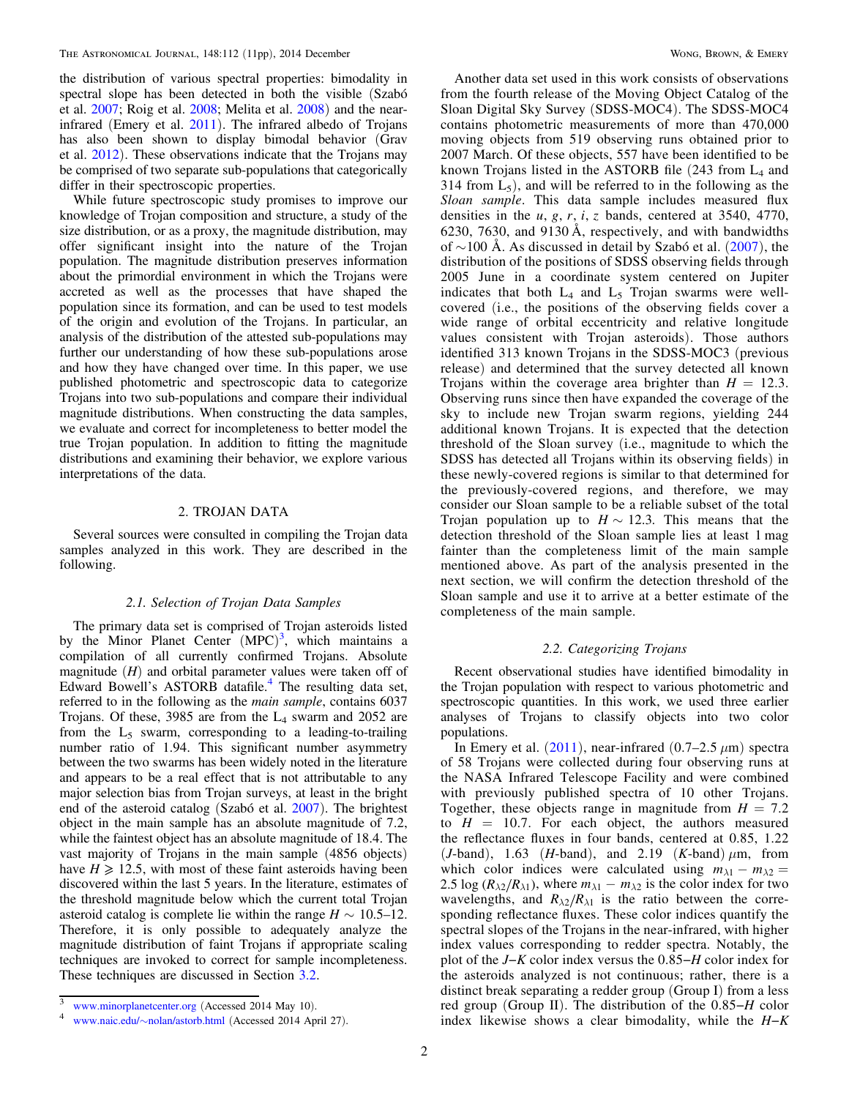<span id="page-1-0"></span>the distribution of various spectral properties: bimodality in spectral slope has been detected in both the visible (Szabó et al. [2007;](#page-10-0) Roig et al. [2008;](#page-10-0) Melita et al. [2008](#page-10-0)) and the nearinfrared (Emery et al. [2011](#page-10-0)). The infrared albedo of Trojans has also been shown to display bimodal behavior (Grav et al. [2012](#page-10-0)). These observations indicate that the Trojans may be comprised of two separate sub-populations that categorically differ in their spectroscopic properties.

While future spectroscopic study promises to improve our knowledge of Trojan composition and structure, a study of the size distribution, or as a proxy, the magnitude distribution, may offer significant insight into the nature of the Trojan population. The magnitude distribution preserves information about the primordial environment in which the Trojans were accreted as well as the processes that have shaped the population since its formation, and can be used to test models of the origin and evolution of the Trojans. In particular, an analysis of the distribution of the attested sub-populations may further our understanding of how these sub-populations arose and how they have changed over time. In this paper, we use published photometric and spectroscopic data to categorize Trojans into two sub-populations and compare their individual magnitude distributions. When constructing the data samples, we evaluate and correct for incompleteness to better model the true Trojan population. In addition to fitting the magnitude distributions and examining their behavior, we explore various interpretations of the data.

# 2. TROJAN DATA

Several sources were consulted in compiling the Trojan data samples analyzed in this work. They are described in the following.

## 2.1. Selection of Trojan Data Samples

The primary data set is comprised of Trojan asteroids listed by the Minor Planet Center  $(MPC)^3$ , which maintains a compilation of all currently confirmed Trojans. Absolute magnitude  $(H)$  and orbital parameter values were taken off of Edward Bowell's ASTORB datafile.<sup>4</sup> The resulting data set, referred to in the following as the *main sample*, contains 6037 Trojans. Of these,  $3985$  are from the  $L_4$  swarm and  $2052$  are from the  $L_5$  swarm, corresponding to a leading-to-trailing number ratio of 1.94. This significant number asymmetry between the two swarms has been widely noted in the literature and appears to be a real effect that is not attributable to any major selection bias from Trojan surveys, at least in the bright end of the asteroid catalog (Szabó et al. [2007](#page-10-0)). The brightest object in the main sample has an absolute magnitude of 7.2, while the faintest object has an absolute magnitude of 18.4. The vast majority of Trojans in the main sample (4856 objects) have  $H \geq 12.5$ , with most of these faint asteroids having been discovered within the last 5 years. In the literature, estimates of the threshold magnitude below which the current total Trojan asteroid catalog is complete lie within the range  $H \sim 10.5{\text -}12$ . Therefore, it is only possible to adequately analyze the magnitude distribution of faint Trojans if appropriate scaling techniques are invoked to correct for sample incompleteness. These techniques are discussed in Section [3.2](#page-4-0).

Another data set used in this work consists of observations from the fourth release of the Moving Object Catalog of the Sloan Digital Sky Survey (SDSS-MOC4). The SDSS-MOC4 contains photometric measurements of more than 470,000 moving objects from 519 observing runs obtained prior to 2007 March. Of these objects, 557 have been identified to be known Trojans listed in the ASTORB file  $(243 \text{ from } L_4 \text{ and }$ 314 from  $L_5$ ), and will be referred to in the following as the Sloan sample. This data sample includes measured flux densities in the  $u, g, r, i, z$  bands, centered at 3540, 4770, 6230, 7630, and 9130 Å, respectively, and with bandwidths of  $\sim$ 100 Å. As discussed in detail by Szabó et al. ([2007](#page-10-0)), the distribution of the positions of SDSS observing fields through 2005 June in a coordinate system centered on Jupiter indicates that both  $L_4$  and  $L_5$  Trojan swarms were wellcovered (i.e., the positions of the observing fields cover a wide range of orbital eccentricity and relative longitude values consistent with Trojan asteroids). Those authors identified 313 known Trojans in the SDSS-MOC3 (previous release) and determined that the survey detected all known Trojans within the coverage area brighter than  $H = 12.3$ . Observing runs since then have expanded the coverage of the sky to include new Trojan swarm regions, yielding 244 additional known Trojans. It is expected that the detection threshold of the Sloan survey (i.e., magnitude to which the SDSS has detected all Trojans within its observing fields) in these newly-covered regions is similar to that determined for the previously-covered regions, and therefore, we may consider our Sloan sample to be a reliable subset of the total Trojan population up to  $H \sim 12.3$ . This means that the detection threshold of the Sloan sample lies at least 1 mag fainter than the completeness limit of the main sample mentioned above. As part of the analysis presented in the next section, we will confirm the detection threshold of the Sloan sample and use it to arrive at a better estimate of the completeness of the main sample.

## 2.2. Categorizing Trojans

Recent observational studies have identified bimodality in the Trojan population with respect to various photometric and spectroscopic quantities. In this work, we used three earlier analyses of Trojans to classify objects into two color populations.

In Emery et al.  $(2011)$  $(2011)$  $(2011)$ , near-infrared  $(0.7-2.5 \mu m)$  spectra of 58 Trojans were collected during four observing runs at the NASA Infrared Telescope Facility and were combined with previously published spectra of 10 other Trojans. Together, these objects range in magnitude from  $H = 7.2$ to  $H = 10.7$ . For each object, the authors measured the reflectance fluxes in four bands, centered at 0.85, 1.22 (*J*-band), 1.63 (*H*-band), and 2.19 (*K*-band)  $\mu$ m, from which color indices were calculated using  $m_{\lambda 1} - m_{\lambda 2} =$ 2.5 log  $(R_{\lambda 2}/R_{\lambda 1})$ , where  $m_{\lambda 1} - m_{\lambda 2}$  is the color index for two wavelengths, and  $R_{\lambda 2}/R_{\lambda 1}$  is the ratio between the corresponding reflectance fluxes. These color indices quantify the spectral slopes of the Trojans in the near-infrared, with higher index values corresponding to redder spectra. Notably, the plot of the J−K color index versus the 0.85−H color index for the asteroids analyzed is not continuous; rather, there is a distinct break separating a redder group (Group I) from a less red group (Group II). The distribution of the 0.85−H color index likewise shows a clear bimodality, while the  $H-K$ 

<www.minorplanetcenter.org> (Accessed 2014 May 10).<br>www.naic.edu/~[nolan/astorb.html](www.naic.edu/~nolan/astorb.html) (Accessed 2014 April 27).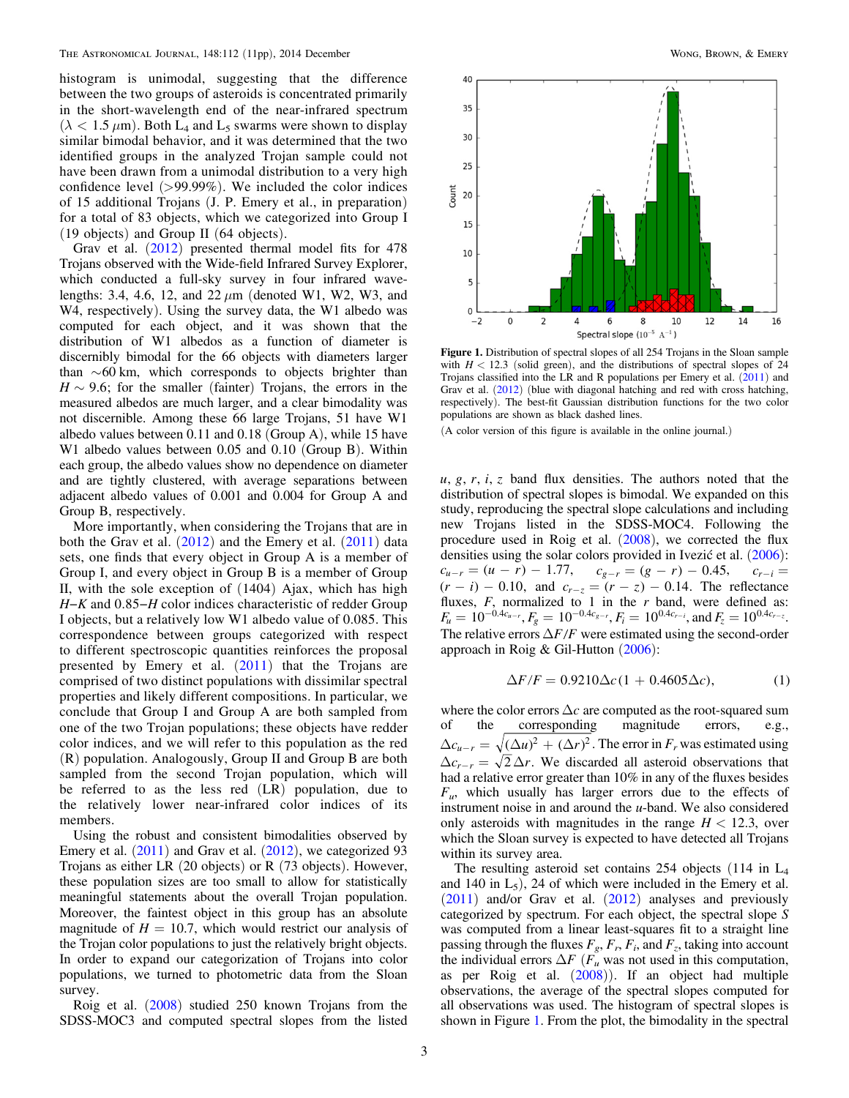<span id="page-2-0"></span>histogram is unimodal, suggesting that the difference between the two groups of asteroids is concentrated primarily in the short-wavelength end of the near-infrared spectrum  $(\lambda < 1.5 \,\mu\text{m})$ . Both L<sub>4</sub> and L<sub>5</sub> swarms were shown to display similar bimodal behavior, and it was determined that the two identified groups in the analyzed Trojan sample could not have been drawn from a unimodal distribution to a very high confidence level  $(>99.99\%)$ . We included the color indices of 15 additional Trojans (J. P. Emery et al., in preparation) for a total of 83 objects, which we categorized into Group I (19 objects) and Group II (64 objects).

Grav et al. ([2012](#page-10-0)) presented thermal model fits for 478 Trojans observed with the Wide-field Infrared Survey Explorer, which conducted a full-sky survey in four infrared wavelengths: 3.4, 4.6, 12, and 22  $\mu$ m (denoted W1, W2, W3, and W4, respectively). Using the survey data, the W1 albedo was computed for each object, and it was shown that the distribution of W1 albedos as a function of diameter is discernibly bimodal for the 66 objects with diameters larger than  $\sim 60$  km, which corresponds to objects brighter than  $H \sim 9.6$ ; for the smaller (fainter) Trojans, the errors in the measured albedos are much larger, and a clear bimodality was not discernible. Among these 66 large Trojans, 51 have W1 albedo values between 0.11 and 0.18 (Group A), while 15 have W1 albedo values between 0.05 and 0.10 (Group B). Within each group, the albedo values show no dependence on diameter and are tightly clustered, with average separations between adjacent albedo values of 0.001 and 0.004 for Group A and Group B, respectively.

More importantly, when considering the Trojans that are in both the Grav et al.  $(2012)$  $(2012)$  $(2012)$  and the Emery et al.  $(2011)$  $(2011)$  $(2011)$  data sets, one finds that every object in Group A is a member of Group I, and every object in Group B is a member of Group II, with the sole exception of (1404) Ajax, which has high H−K and 0.85−H color indices characteristic of redder Group I objects, but a relatively low W1 albedo value of 0.085. This correspondence between groups categorized with respect to different spectroscopic quantities reinforces the proposal presented by Emery et al. ([2011](#page-10-0)) that the Trojans are comprised of two distinct populations with dissimilar spectral properties and likely different compositions. In particular, we conclude that Group I and Group A are both sampled from one of the two Trojan populations; these objects have redder color indices, and we will refer to this population as the red (R) population. Analogously, Group II and Group B are both sampled from the second Trojan population, which will be referred to as the less red (LR) population, due to the relatively lower near-infrared color indices of its members.

Using the robust and consistent bimodalities observed by Emery et al.  $(2011)$  $(2011)$  $(2011)$  and Grav et al.  $(2012)$  $(2012)$  $(2012)$ , we categorized 93 Trojans as either LR (20 objects) or R (73 objects). However, these population sizes are too small to allow for statistically meaningful statements about the overall Trojan population. Moreover, the faintest object in this group has an absolute magnitude of  $H = 10.7$ , which would restrict our analysis of the Trojan color populations to just the relatively bright objects. In order to expand our categorization of Trojans into color populations, we turned to photometric data from the Sloan survey.

Roig et al. ([2008](#page-10-0)) studied 250 known Trojans from the SDSS-MOC3 and computed spectral slopes from the listed



Figure 1. Distribution of spectral slopes of all 254 Trojans in the Sloan sample with  $H < 12.3$  (solid green), and the distributions of spectral slopes of 24 Trojans classified into the LR and R populations per Emery et al. ([2011](#page-10-0)) and Grav et al. ([2012](#page-10-0)) (blue with diagonal hatching and red with cross hatching, respectively). The best-fit Gaussian distribution functions for the two color populations are shown as black dashed lines.

(A color version of this figure is available in the online journal.)

 $u, g, r, i, z$  band flux densities. The authors noted that the distribution of spectral slopes is bimodal. We expanded on this study, reproducing the spectral slope calculations and including new Trojans listed in the SDSS-MOC4. Following the procedure used in Roig et al. ([2008](#page-10-0)), we corrected the flux densities using the solar colors provided in Ivezić et al. ([2006](#page-10-0)):  $c_{u-r} = (u - r) - 1.77$ ,  $c_{g-r} = (g - r) - 0.45$ ,  $c_{r-i} =$  $(r - i) - 0.10$ , and  $c_{r - z} = (r - z) - 0.14$ . The reflectance fluxes,  $F$ , normalized to 1 in the  $r$  band, were defined as:  $F_u = 10^{-0.4c_{u-r}}, F_g = 10^{-0.4c_{g-r}}, F_i = 10^{0.4c_{r-i}}, \text{and } F_z = 10^{0.4c_{r-z}}.$ The relative errors  $\Delta F/F$  were estimated using the second-order approach in Roig & Gil-Hutton ([2006](#page-10-0)):

$$
\Delta F/F = 0.9210 \Delta c (1 + 0.4605 \Delta c), \tag{1}
$$

where the color errors  $\Delta c$  are computed as the root-squared sum of the corresponding magnitude errors, e.g.,  $\Delta c_{u-r} = \sqrt{(\Delta u)^2 + (\Delta r)^2}$ . The error in F<sub>r</sub> was estimated using  $\Delta c_{r-r} = \sqrt{2} \Delta r$ . We discarded all asteroid observations that had a relative error greater than 10% in any of the fluxes besides  $F_{\mu}$ , which usually has larger errors due to the effects of instrument noise in and around the u-band. We also considered only asteroids with magnitudes in the range  $H < 12.3$ , over which the Sloan survey is expected to have detected all Trojans within its survey area.

The resulting asteroid set contains 254 objects (114 in L4 and 140 in  $L_5$ ), 24 of which were included in the Emery et al.  $(2011)$  $(2011)$  $(2011)$  and/or Grav et al.  $(2012)$  $(2012)$  $(2012)$  analyses and previously categorized by spectrum. For each object, the spectral slope S was computed from a linear least-squares fit to a straight line passing through the fluxes  $F_g$ ,  $F_r$ ,  $F_i$ , and  $F_z$ , taking into account the individual errors  $\Delta F$  ( $F_u$ <sup>u</sup> was not used in this computation, as per Roig et al. ([2008](#page-10-0))). If an object had multiple observations, the average of the spectral slopes computed for all observations was used. The histogram of spectral slopes is shown in Figure 1. From the plot, the bimodality in the spectral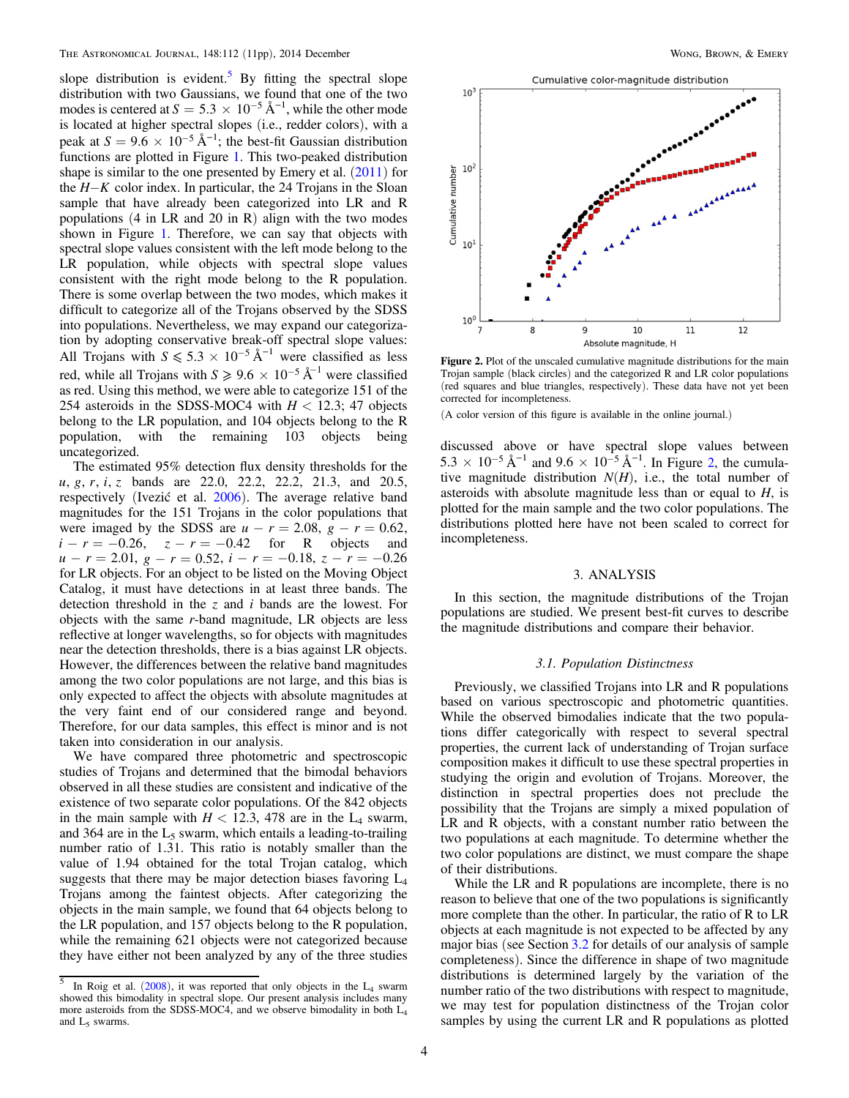<span id="page-3-0"></span>slope distribution is evident.<sup>5</sup> By fitting the spectral slope distribution with two Gaussians, we found that one of the two modes is centered at  $S = 5.3 \times 10^{-5} \text{ Å}^{-1}$ , while the other mode is located at higher spectral slopes (i.e., redder colors), with a peak at  $S = 9.6 \times 10^{-5} \text{ Å}^{-1}$ ; the best-fit Gaussian distribution functions are plotted in Figure [1](#page-2-0). This two-peaked distribution shape is similar to the one presented by Emery et al.  $(2011)$  $(2011)$  $(2011)$  for the *H*-*K* color index. In particular, the 24 Trojans in the Sloan sample that have already been categorized into LR and R populations  $(4 \text{ in LR and } 20 \text{ in R})$  align with the two modes shown in Figure [1.](#page-2-0) Therefore, we can say that objects with spectral slope values consistent with the left mode belong to the LR population, while objects with spectral slope values consistent with the right mode belong to the R population. There is some overlap between the two modes, which makes it difficult to categorize all of the Trojans observed by the SDSS into populations. Nevertheless, we may expand our categorization by adopting conservative break-off spectral slope values: All Trojans with  $S \le 5.3 \times 10^{-5}$  Å<sup>-1</sup> were classified as less red, while all Trojans with  $S \ge 9.6 \times 10^{-5} \text{ Å}^{-1}$  were classified as red. Using this method, we were able to categorize 151 of the 254 asteroids in the SDSS-MOC4 with  $H < 12.3$ ; 47 objects belong to the LR population, and 104 objects belong to the R population, with the remaining 103 objects being uncategorized.

The estimated 95% detection flux density thresholds for the *u, g, r, i, z* bands are 22.0, 22.2, 22.2, 21.3, and 20.5, respectively (Ivezić et al. [2006](#page-10-0)). The average relative band magnitudes for the 151 Trojans in the color populations that were imaged by the SDSS are  $u - r = 2.08$ ,  $g - r = 0.62$ ,  $i - r = -0.26$ ,  $z - r = -0.42$  for R objects and  $u - r = 2.01$ ,  $g - r = 0.52$ ,  $i - r = -0.18$ ,  $z - r = -0.26$ for LR objects. For an object to be listed on the Moving Object Catalog, it must have detections in at least three bands. The detection threshold in the z and  $i$  bands are the lowest. For objects with the same r-band magnitude, LR objects are less reflective at longer wavelengths, so for objects with magnitudes near the detection thresholds, there is a bias against LR objects. However, the differences between the relative band magnitudes among the two color populations are not large, and this bias is only expected to affect the objects with absolute magnitudes at the very faint end of our considered range and beyond. Therefore, for our data samples, this effect is minor and is not taken into consideration in our analysis.

We have compared three photometric and spectroscopic studies of Trojans and determined that the bimodal behaviors observed in all these studies are consistent and indicative of the existence of two separate color populations. Of the 842 objects in the main sample with  $H < 12.3$ , 478 are in the L<sub>4</sub> swarm, and 364 are in the  $L_5$  swarm, which entails a leading-to-trailing number ratio of 1.31. This ratio is notably smaller than the value of 1.94 obtained for the total Trojan catalog, which suggests that there may be major detection biases favoring  $L_4$ Trojans among the faintest objects. After categorizing the objects in the main sample, we found that 64 objects belong to the LR population, and 157 objects belong to the R population, while the remaining 621 objects were not categorized because they have either not been analyzed by any of the three studies



Figure 2. Plot of the unscaled cumulative magnitude distributions for the main Trojan sample (black circles) and the categorized R and LR color populations (red squares and blue triangles, respectively). These data have not yet been corrected for incompleteness.

(A color version of this figure is available in the online journal.)

discussed above or have spectral slope values between 5.3  $\times$  10<sup>-5</sup> Å<sup>-1</sup> and 9.6  $\times$  10<sup>-5</sup> Å<sup>-1</sup>. In Figure 2, the cumulative magnitude distribution  $N(H)$ , i.e., the total number of asteroids with absolute magnitude less than or equal to  $H$ , is plotted for the main sample and the two color populations. The distributions plotted here have not been scaled to correct for incompleteness.

## 3. ANALYSIS

In this section, the magnitude distributions of the Trojan populations are studied. We present best-fit curves to describe the magnitude distributions and compare their behavior.

#### 3.1. Population Distinctness

Previously, we classified Trojans into LR and R populations based on various spectroscopic and photometric quantities. While the observed bimodalies indicate that the two populations differ categorically with respect to several spectral properties, the current lack of understanding of Trojan surface composition makes it difficult to use these spectral properties in studying the origin and evolution of Trojans. Moreover, the distinction in spectral properties does not preclude the possibility that the Trojans are simply a mixed population of LR and R objects, with a constant number ratio between the two populations at each magnitude. To determine whether the two color populations are distinct, we must compare the shape of their distributions.

While the LR and R populations are incomplete, there is no reason to believe that one of the two populations is significantly more complete than the other. In particular, the ratio of R to LR objects at each magnitude is not expected to be affected by any major bias (see Section [3.2](#page-4-0) for details of our analysis of sample completeness). Since the difference in shape of two magnitude distributions is determined largely by the variation of the number ratio of the two distributions with respect to magnitude, we may test for population distinctness of the Trojan color samples by using the current LR and R populations as plotted

 $\overline{5}$  In Roig et al. ([2008](#page-10-0)), it was reported that only objects in the L<sub>4</sub> swarm showed this bimodality in spectral slope. Our present analysis includes many more asteroids from the SDSS-MOC4, and we observe bimodality in both  $L_4$ and  $L_5$  swarms.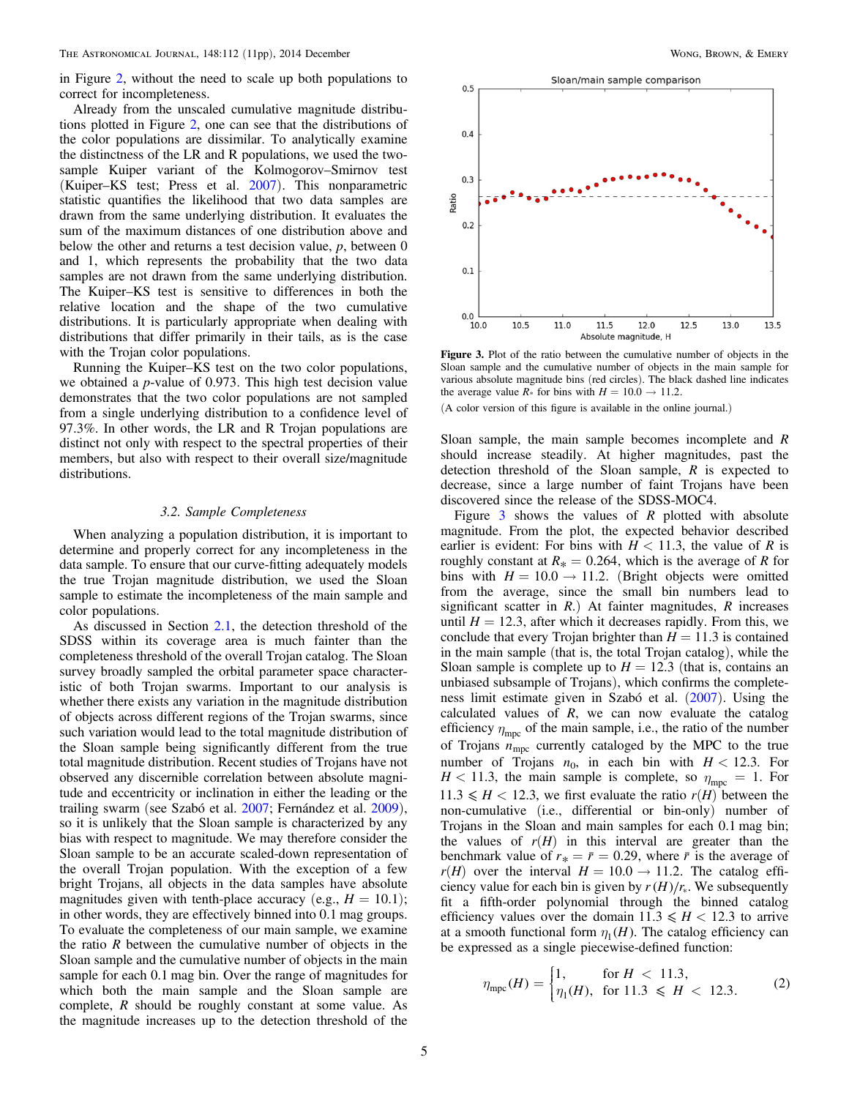<span id="page-4-0"></span>in Figure [2,](#page-3-0) without the need to scale up both populations to correct for incompleteness.

Already from the unscaled cumulative magnitude distributions plotted in Figure [2](#page-3-0), one can see that the distributions of the color populations are dissimilar. To analytically examine the distinctness of the LR and R populations, we used the twosample Kuiper variant of the Kolmogorov–Smirnov test (Kuiper–KS test; Press et al. [2007](#page-10-0)). This nonparametric statistic quantifies the likelihood that two data samples are drawn from the same underlying distribution. It evaluates the sum of the maximum distances of one distribution above and below the other and returns a test decision value,  $p$ , between  $0$ and 1, which represents the probability that the two data samples are not drawn from the same underlying distribution. The Kuiper–KS test is sensitive to differences in both the relative location and the shape of the two cumulative distributions. It is particularly appropriate when dealing with distributions that differ primarily in their tails, as is the case with the Trojan color populations.

Running the Kuiper–KS test on the two color populations, we obtained a p-value of 0.973. This high test decision value demonstrates that the two color populations are not sampled from a single underlying distribution to a confidence level of 97.3%. In other words, the LR and R Trojan populations are distinct not only with respect to the spectral properties of their members, but also with respect to their overall size/magnitude distributions.

#### 3.2. Sample Completeness

When analyzing a population distribution, it is important to determine and properly correct for any incompleteness in the data sample. To ensure that our curve-fitting adequately models the true Trojan magnitude distribution, we used the Sloan sample to estimate the incompleteness of the main sample and color populations.

As discussed in Section [2.1](#page-1-0), the detection threshold of the SDSS within its coverage area is much fainter than the completeness threshold of the overall Trojan catalog. The Sloan survey broadly sampled the orbital parameter space characteristic of both Trojan swarms. Important to our analysis is whether there exists any variation in the magnitude distribution of objects across different regions of the Trojan swarms, since such variation would lead to the total magnitude distribution of the Sloan sample being significantly different from the true total magnitude distribution. Recent studies of Trojans have not observed any discernible correlation between absolute magnitude and eccentricity or inclination in either the leading or the trailing swarm (see Szabó et al. [2007](#page-10-0); Fernández et al. [2009](#page-10-0)), so it is unlikely that the Sloan sample is characterized by any bias with respect to magnitude. We may therefore consider the Sloan sample to be an accurate scaled-down representation of the overall Trojan population. With the exception of a few bright Trojans, all objects in the data samples have absolute magnitudes given with tenth-place accuracy (e.g.,  $H = 10.1$ ); in other words, they are effectively binned into 0.1 mag groups. To evaluate the completeness of our main sample, we examine the ratio  $R$  between the cumulative number of objects in the Sloan sample and the cumulative number of objects in the main sample for each 0.1 mag bin. Over the range of magnitudes for which both the main sample and the Sloan sample are complete,  $R$  should be roughly constant at some value. As the magnitude increases up to the detection threshold of the



Figure 3. Plot of the ratio between the cumulative number of objects in the Sloan sample and the cumulative number of objects in the main sample for various absolute magnitude bins (red circles). The black dashed line indicates the average value  $R_*$  for bins with  $H = 10.0 \rightarrow 11.2$ .

(A color version of this figure is available in the online journal.)

Sloan sample, the main sample becomes incomplete and R should increase steadily. At higher magnitudes, past the detection threshold of the Sloan sample,  $R$  is expected to decrease, since a large number of faint Trojans have been discovered since the release of the SDSS-MOC4.

Figure  $\overline{3}$  shows the values of R plotted with absolute magnitude. From the plot, the expected behavior described earlier is evident: For bins with  $H < 11.3$ , the value of R is roughly constant at  $R_* = 0.264$ , which is the average of R for bins with  $H = 10.0 \rightarrow 11.2$ . (Bright objects were omitted from the average, since the small bin numbers lead to significant scatter in  $R$ .) At fainter magnitudes,  $R$  increases until  $H = 12.3$ , after which it decreases rapidly. From this, we conclude that every Trojan brighter than  $H = 11.3$  is contained in the main sample (that is, the total Trojan catalog), while the Sloan sample is complete up to  $H = 12.3$  (that is, contains an unbiased subsample of Trojans), which confirms the completeness limit estimate given in Szabó et al. ([2007](#page-10-0)). Using the calculated values of  $R$ , we can now evaluate the catalog efficiency  $\eta_{\text{mpc}}$  of the main sample, i.e., the ratio of the number of Trojans *n*mpc currently cataloged by the MPC to the true number of Trojans  $n_0$ , in each bin with  $H < 12.3$ . For  $H$  < 11.3, the main sample is complete, so  $\eta_{\text{mpc}} = 1$ . For  $11.3 \leq H < 12.3$ , we first evaluate the ratio  $r(H)$  between the non-cumulative (i.e., differential or bin-only) number of Trojans in the Sloan and main samples for each 0.1 mag bin; the values of  $r(H)$  in this interval are greater than the benchmark value of  $r_* = \bar{r} = 0.29$ , where  $\bar{r}$  is the average of  $r(H)$  over the interval  $H = 10.0 \rightarrow 11.2$ . The catalog efficiency value for each bin is given by  $r(H)/r_*$ . We subsequently fit a fifth-order polynomial through the binned catalog efficiency values over the domain  $11.3 \leq H < 12.3$  to arrive at a smooth functional form  $\eta_1(H)$ . The catalog efficiency can be expressed as a single piecewise-defined function:

$$
\eta_{\rm mpc}(H) = \begin{cases} 1, & \text{for } H < 11.3, \\ \eta_1(H), & \text{for } 11.3 \le H < 12.3. \end{cases} \tag{2}
$$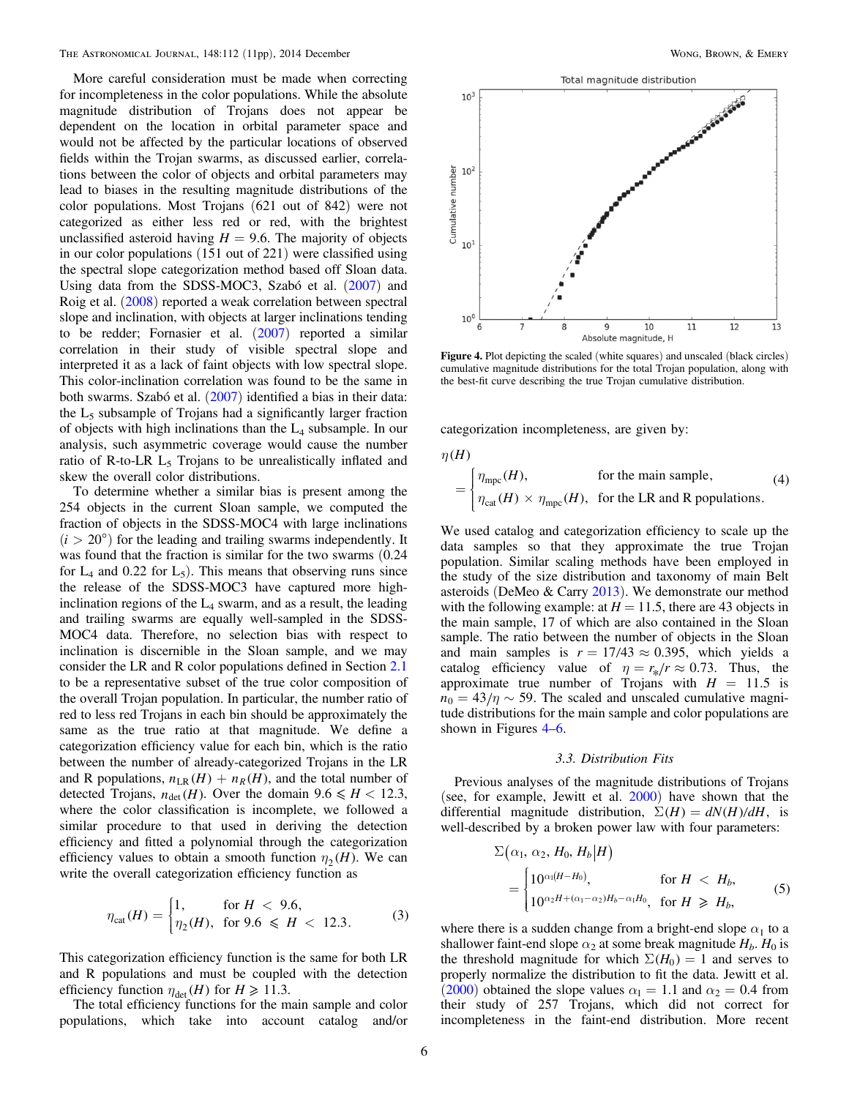<span id="page-5-0"></span>More careful consideration must be made when correcting for incompleteness in the color populations. While the absolute magnitude distribution of Trojans does not appear be dependent on the location in orbital parameter space and would not be affected by the particular locations of observed fields within the Trojan swarms, as discussed earlier, correlations between the color of objects and orbital parameters may lead to biases in the resulting magnitude distributions of the color populations. Most Trojans (621 out of 842) were not categorized as either less red or red, with the brightest unclassified asteroid having  $H = 9.6$ . The majority of objects in our color populations (151 out of 221) were classified using the spectral slope categorization method based off Sloan data. Using data from the SDSS-MOC3, Szabó et al. ([2007](#page-10-0)) and Roig et al. ([2008](#page-10-0)) reported a weak correlation between spectral slope and inclination, with objects at larger inclinations tending to be redder; Fornasier et al. ([2007](#page-10-0)) reported a similar correlation in their study of visible spectral slope and interpreted it as a lack of faint objects with low spectral slope. This color-inclination correlation was found to be the same in both swarms. Szabó et al. ([2007](#page-10-0)) identified a bias in their data: the  $L_5$  subsample of Trojans had a significantly larger fraction of objects with high inclinations than the  $L_4$  subsample. In our analysis, such asymmetric coverage would cause the number ratio of R-to-LR  $L_5$  Trojans to be unrealistically inflated and skew the overall color distributions.

To determine whether a similar bias is present among the 254 objects in the current Sloan sample, we computed the fraction of objects in the SDSS-MOC4 with large inclinations  $(i > 20^{\circ})$  for the leading and trailing swarms independently. It was found that the fraction is similar for the two swarms (0.24 for  $L_4$  and 0.22 for  $L_5$ ). This means that observing runs since the release of the SDSS-MOC3 have captured more highinclination regions of the  $L_4$  swarm, and as a result, the leading and trailing swarms are equally well-sampled in the SDSS-MOC4 data. Therefore, no selection bias with respect to inclination is discernible in the Sloan sample, and we may consider the LR and R color populations defined in Section [2.1](#page-1-0) to be a representative subset of the true color composition of the overall Trojan population. In particular, the number ratio of red to less red Trojans in each bin should be approximately the same as the true ratio at that magnitude. We define a categorization efficiency value for each bin, which is the ratio between the number of already-categorized Trojans in the LR and R populations,  $n_{LR}(H) + n_R(H)$ , and the total number of detected Trojans,  $n_{\text{det}}(H)$ . Over the domain  $9.6 \le H < 12.3$ , where the color classification is incomplete, we followed a similar procedure to that used in deriving the detection efficiency and fitted a polynomial through the categorization efficiency values to obtain a smooth function  $\eta_2(H)$ . We can write the overall categorization efficiency function as

$$
\eta_{\text{cat}}(H) = \begin{cases} 1, & \text{for } H < 9.6, \\ \eta_2(H), & \text{for } 9.6 \le H < 12.3. \end{cases} \tag{3}
$$

This categorization efficiency function is the same for both LR and R populations and must be coupled with the detection efficiency function  $\eta_{\text{det}}(H)$  for  $H \ge 11.3$ .

The total efficiency functions for the main sample and color populations, which take into account catalog and/or



Figure 4. Plot depicting the scaled (white squares) and unscaled (black circles) cumulative magnitude distributions for the total Trojan population, along with the best-fit curve describing the true Trojan cumulative distribution.

categorization incompleteness, are given by:

 $\eta$ <sup>(H)</sup>

$$
= \begin{cases} \eta_{\text{mpc}}(H), & \text{for the main sample,} \\ \eta_{\text{cat}}(H) \times \eta_{\text{mpc}}(H), & \text{for the LR and R populations.} \end{cases}
$$
 (4)

We used catalog and categorization efficiency to scale up the data samples so that they approximate the true Trojan population. Similar scaling methods have been employed in the study of the size distribution and taxonomy of main Belt asteroids (DeMeo  $&$  Carry [2013](#page-10-0)). We demonstrate our method with the following example: at  $H = 11.5$ , there are 43 objects in the main sample, 17 of which are also contained in the Sloan sample. The ratio between the number of objects in the Sloan and main samples is  $r = 17/43 \approx 0.395$ , which yields a catalog efficiency value of  $\eta = r_{*}/r \approx 0.73$ . Thus, the approximate true number of Trojans with  $H = 11.5$  is  $n_0 = 43/\eta \sim 59$ . The scaled and unscaled cumulative magnitude distributions for the main sample and color populations are shown in Figures 4–[6](#page-6-0).

#### 3.3. Distribution Fits

Previous analyses of the magnitude distributions of Trojans (see, for example, Jewitt et al.  $2000$ ) have shown that the differential magnitude distribution,  $\Sigma(H) = dN(H)/dH$ , is well-described by a broken power law with four parameters:

$$
\Sigma(\alpha_1, \alpha_2, H_0, H_b | H)
$$
\n
$$
= \begin{cases}\n10^{\alpha_1(H-H_0)}, & \text{for } H < H_b, \\
10^{\alpha_2 H + (\alpha_1 - \alpha_2)H_b - \alpha_1 H_0}, & \text{for } H \ge H_b,\n\end{cases}
$$
\n(5)

where there is a sudden change from a bright-end slope  $\alpha_1$  to a shallower faint-end slope  $\alpha_2$  at some break magnitude  $H_b$ .  $H_0$  is the threshold magnitude for which  $\Sigma(H_0) = 1$  and serves to properly normalize the distribution to fit the data. Jewitt et al. ([2000](#page-10-0)) obtained the slope values  $\alpha_1 = 1.1$  and  $\alpha_2 = 0.4$  from their study of 257 Trojans, which did not correct for incompleteness in the faint-end distribution. More recent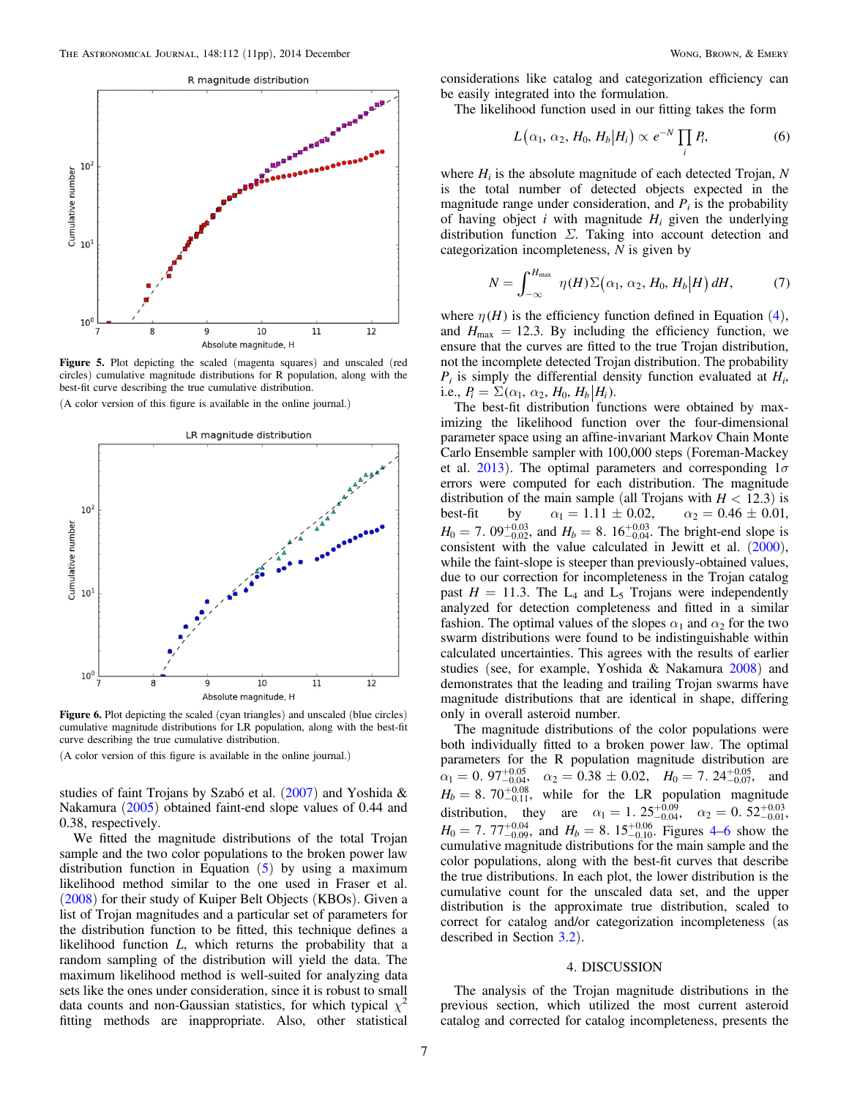<span id="page-6-0"></span>

Figure 5. Plot depicting the scaled (magenta squares) and unscaled (red circles) cumulative magnitude distributions for R population, along with the best-fit curve describing the true cumulative distribution.

(A color version of this figure is available in the online journal.)



Figure 6. Plot depicting the scaled (cyan triangles) and unscaled (blue circles) cumulative magnitude distributions for LR population, along with the best-fit curve describing the true cumulative distribution.

(A color version of this figure is available in the online journal.)

studies of faint Trojans by Szabó et al. ([2007](#page-10-0)) and Yoshida & Nakamura ([2005](#page-10-0)) obtained faint-end slope values of 0.44 and 0.38, respectively.

We fitted the magnitude distributions of the total Trojan sample and the two color populations to the broken power law distribution function in Equation  $(5)$  $(5)$  $(5)$  by using a maximum likelihood method similar to the one used in Fraser et al. ([2008](#page-10-0)) for their study of Kuiper Belt Objects (KBOs). Given a list of Trojan magnitudes and a particular set of parameters for the distribution function to be fitted, this technique defines a likelihood function L, which returns the probability that a random sampling of the distribution will yield the data. The maximum likelihood method is well-suited for analyzing data sets like the ones under consideration, since it is robust to small data counts and non-Gaussian statistics, for which typical  $\chi^2$ fitting methods are inappropriate. Also, other statistical

considerations like catalog and categorization efficiency can be easily integrated into the formulation.

The likelihood function used in our fitting takes the form

$$
L(\alpha_1, \alpha_2, H_0, H_b | H_i) \propto e^{-N} \prod_i P_i,
$$
 (6)

where  $H_i$  is the absolute magnitude of each detected Trojan, N is the total number of detected objects expected in the magnitude range under consideration, and  $P_i$  is the probability of having object i with magnitude  $H_i$  given the underlying distribution function  $\Sigma$ . Taking into account detection and categorization incompleteness, N is given by

$$
N = \int_{-\infty}^{H_{\text{max}}} \eta(H) \Sigma(\alpha_1, \alpha_2, H_0, H_b | H) dH, \tag{7}
$$

where  $\eta$  (*H*) is the efficiency function defined in Equation ([4](#page-5-0)), and  $H_{\text{max}} = 12.3$ . By including the efficiency function, we ensure that the curves are fitted to the true Trojan distribution, not the incomplete detected Trojan distribution. The probability  $P_i$  is simply the differential density function evaluated at  $H_i$ , i.e.,  $P_i = \sum (\alpha_1, \alpha_2, H_0, H_b | H_i)$ .

The best-fit distribution functions were obtained by maximizing the likelihood function over the four-dimensional parameter space using an affine-invariant Markov Chain Monte Carlo Ensemble sampler with 100,000 steps (Foreman-Mackey et al. [2013](#page-10-0)). The optimal parameters and corresponding  $1\sigma$ errors were computed for each distribution. The magnitude distribution of the main sample (all Trojans with  $H < 12.3$ ) is<br>best-fit by  $\alpha_1 = 1.11 \pm 0.02$ ,  $\alpha_2 = 0.46 \pm 0.01$ , best-fit by  $\alpha_1 = 1.11 \pm 0.02$ ,  $\alpha_2 = 0.46 \pm 0.01$ ,  $H_0 = 7.09_{-0.02}^{+0.03}$ , and  $H_b = 8.16_{-0.04}^{+0.03}$ . The bright-end slope is consistent with the value calculated in Jewitt et al.  $(2000)$  $(2000)$  $(2000)$ , while the faint-slope is steeper than previously-obtained values, due to our correction for incompleteness in the Trojan catalog past  $H = 11.3$ . The L<sub>4</sub> and L<sub>5</sub> Trojans were independently analyzed for detection completeness and fitted in a similar fashion. The optimal values of the slopes  $\alpha_1$  and  $\alpha_2$  for the two swarm distributions were found to be indistinguishable within calculated uncertainties. This agrees with the results of earlier studies (see, for example, Yoshida & Nakamura [2008](#page-10-0)) and demonstrates that the leading and trailing Trojan swarms have magnitude distributions that are identical in shape, differing only in overall asteroid number.

The magnitude distributions of the color populations were both individually fitted to a broken power law. The optimal parameters for the R population magnitude distribution are  $\alpha_1 = 0.97^{+0.05}_{-0.04}$ ,  $\alpha_2 = 0.38 \pm 0.02$ ,  $H_0 = 7.24^{+0.05}_{-0.07}$ , and  $H_b = 8.70^{+0.08}_{-0.11}$ , while for the LR population magnitude distribution, they are  $\alpha_1 = 1$ .  $25^{+0.09}_{-0.04}$ ,  $\alpha_2 = 0$ .  $52^{+0.03}_{-0.01}$ ,  $H_0 = 7.77^{+0.04}_{-0.09}$  $H_0 = 7.77^{+0.04}_{-0.09}$  $H_0 = 7.77^{+0.04}_{-0.09}$ , and  $H_b = 8.15^{+0.06}_{-0.10}$ . Figures 4–6 show the cumulative magnitude distributions for the main sample and the color populations, along with the best-fit curves that describe the true distributions. In each plot, the lower distribution is the cumulative count for the unscaled data set, and the upper distribution is the approximate true distribution, scaled to correct for catalog and/or categorization incompleteness (as described in Section [3.2](#page-4-0)).

## 4. DISCUSSION

The analysis of the Trojan magnitude distributions in the previous section, which utilized the most current asteroid catalog and corrected for catalog incompleteness, presents the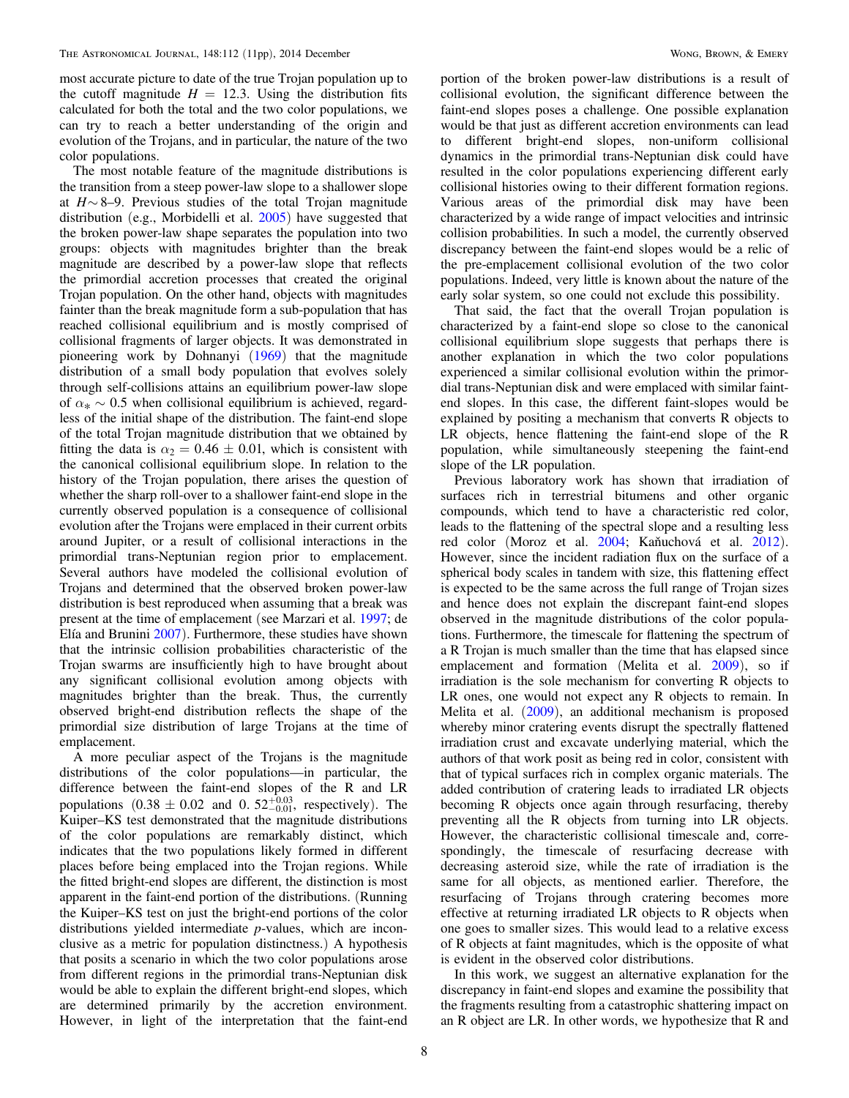most accurate picture to date of the true Trojan population up to the cutoff magnitude  $H = 12.3$ . Using the distribution fits calculated for both the total and the two color populations, we can try to reach a better understanding of the origin and evolution of the Trojans, and in particular, the nature of the two color populations.

The most notable feature of the magnitude distributions is the transition from a steep power-law slope to a shallower slope at  $H \sim 8-9$ . Previous studies of the total Trojan magnitude distribution (e.g., Morbidelli et al. [2005](#page-10-0)) have suggested that the broken power-law shape separates the population into two groups: objects with magnitudes brighter than the break magnitude are described by a power-law slope that reflects the primordial accretion processes that created the original Trojan population. On the other hand, objects with magnitudes fainter than the break magnitude form a sub-population that has reached collisional equilibrium and is mostly comprised of collisional fragments of larger objects. It was demonstrated in pioneering work by Dohnanyi ([1969](#page-10-0)) that the magnitude distribution of a small body population that evolves solely through self-collisions attains an equilibrium power-law slope of  $\alpha_* \sim 0.5$  when collisional equilibrium is achieved, regardless of the initial shape of the distribution. The faint-end slope of the total Trojan magnitude distribution that we obtained by fitting the data is  $\alpha_2 = 0.46 \pm 0.01$ , which is consistent with the canonical collisional equilibrium slope. In relation to the history of the Trojan population, there arises the question of whether the sharp roll-over to a shallower faint-end slope in the currently observed population is a consequence of collisional evolution after the Trojans were emplaced in their current orbits around Jupiter, or a result of collisional interactions in the primordial trans-Neptunian region prior to emplacement. Several authors have modeled the collisional evolution of Trojans and determined that the observed broken power-law distribution is best reproduced when assuming that a break was present at the time of emplacement (see Marzari et al. [1997](#page-10-0); de Elía and Brunini [2007](#page-10-0)). Furthermore, these studies have shown that the intrinsic collision probabilities characteristic of the Trojan swarms are insufficiently high to have brought about any significant collisional evolution among objects with magnitudes brighter than the break. Thus, the currently observed bright-end distribution reflects the shape of the primordial size distribution of large Trojans at the time of emplacement.

A more peculiar aspect of the Trojans is the magnitude distributions of the color populations—in particular, the difference between the faint-end slopes of the R and LR populations  $(0.38 \pm 0.02 \text{ and } 0.52_{-0.01}^{+0.03}, \text{ respectively}).$  The Kuiper–KS test demonstrated that the magnitude distributions of the color populations are remarkably distinct, which indicates that the two populations likely formed in different places before being emplaced into the Trojan regions. While the fitted bright-end slopes are different, the distinction is most apparent in the faint-end portion of the distributions. (Running the Kuiper–KS test on just the bright-end portions of the color distributions yielded intermediate p-values, which are inconclusive as a metric for population distinctness.) A hypothesis that posits a scenario in which the two color populations arose from different regions in the primordial trans-Neptunian disk would be able to explain the different bright-end slopes, which are determined primarily by the accretion environment. However, in light of the interpretation that the faint-end

portion of the broken power-law distributions is a result of collisional evolution, the significant difference between the faint-end slopes poses a challenge. One possible explanation would be that just as different accretion environments can lead to different bright-end slopes, non-uniform collisional dynamics in the primordial trans-Neptunian disk could have resulted in the color populations experiencing different early collisional histories owing to their different formation regions. Various areas of the primordial disk may have been characterized by a wide range of impact velocities and intrinsic collision probabilities. In such a model, the currently observed discrepancy between the faint-end slopes would be a relic of the pre-emplacement collisional evolution of the two color populations. Indeed, very little is known about the nature of the early solar system, so one could not exclude this possibility.

That said, the fact that the overall Trojan population is characterized by a faint-end slope so close to the canonical collisional equilibrium slope suggests that perhaps there is another explanation in which the two color populations experienced a similar collisional evolution within the primordial trans-Neptunian disk and were emplaced with similar faintend slopes. In this case, the different faint-slopes would be explained by positing a mechanism that converts R objects to LR objects, hence flattening the faint-end slope of the R population, while simultaneously steepening the faint-end slope of the LR population.

Previous laboratory work has shown that irradiation of surfaces rich in terrestrial bitumens and other organic compounds, which tend to have a characteristic red color, leads to the flattening of the spectral slope and a resulting less red color (Moroz et al. [2004](#page-10-0); Kaňuchová et al. [2012](#page-10-0)). However, since the incident radiation flux on the surface of a spherical body scales in tandem with size, this flattening effect is expected to be the same across the full range of Trojan sizes and hence does not explain the discrepant faint-end slopes observed in the magnitude distributions of the color populations. Furthermore, the timescale for flattening the spectrum of a R Trojan is much smaller than the time that has elapsed since emplacement and formation (Melita et al. [2009](#page-10-0)), so if irradiation is the sole mechanism for converting R objects to LR ones, one would not expect any R objects to remain. In Melita et al. ([2009](#page-10-0)), an additional mechanism is proposed whereby minor cratering events disrupt the spectrally flattened irradiation crust and excavate underlying material, which the authors of that work posit as being red in color, consistent with that of typical surfaces rich in complex organic materials. The added contribution of cratering leads to irradiated LR objects becoming R objects once again through resurfacing, thereby preventing all the R objects from turning into LR objects. However, the characteristic collisional timescale and, correspondingly, the timescale of resurfacing decrease with decreasing asteroid size, while the rate of irradiation is the same for all objects, as mentioned earlier. Therefore, the resurfacing of Trojans through cratering becomes more effective at returning irradiated LR objects to R objects when one goes to smaller sizes. This would lead to a relative excess of R objects at faint magnitudes, which is the opposite of what is evident in the observed color distributions.

In this work, we suggest an alternative explanation for the discrepancy in faint-end slopes and examine the possibility that the fragments resulting from a catastrophic shattering impact on an R object are LR. In other words, we hypothesize that R and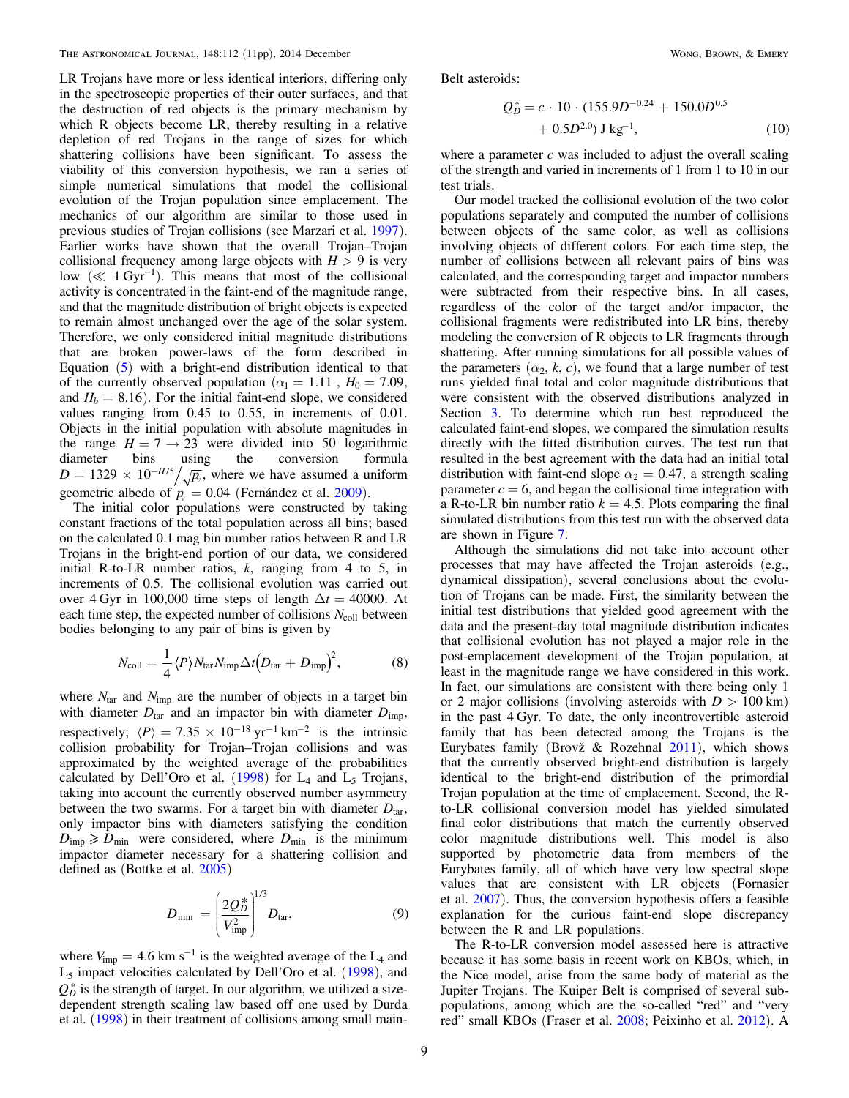LR Trojans have more or less identical interiors, differing only in the spectroscopic properties of their outer surfaces, and that the destruction of red objects is the primary mechanism by which R objects become LR, thereby resulting in a relative depletion of red Trojans in the range of sizes for which shattering collisions have been significant. To assess the viability of this conversion hypothesis, we ran a series of simple numerical simulations that model the collisional evolution of the Trojan population since emplacement. The mechanics of our algorithm are similar to those used in previous studies of Trojan collisions (see Marzari et al. [1997](#page-10-0)). Earlier works have shown that the overall Trojan–Trojan collisional frequency among large objects with  $H > 9$  is very low ( $\ll 1$  Gyr<sup>-1</sup>). This means that most of the collisional activity is concentrated in the faint-end of the magnitude range, and that the magnitude distribution of bright objects is expected to remain almost unchanged over the age of the solar system. Therefore, we only considered initial magnitude distributions that are broken power-laws of the form described in Equation ([5](#page-5-0)) with a bright-end distribution identical to that of the currently observed population ( $\alpha_1 = 1.11$ ,  $H_0 = 7.09$ , and  $H_b = 8.16$ ). For the initial faint-end slope, we considered values ranging from 0.45 to 0.55, in increments of 0.01. Objects in the initial population with absolute magnitudes in the range  $H = 7 \rightarrow 23$  were divided into 50 logarithmic diameter bins using the conversion formula diameter bins using the conversion formula  $D = 1329 \times 10^{-H/5} / \sqrt{R}$ , where we have assumed a uniform geometric albedo of  $p_0 = 0.04$  (Fernández et al. [2009](#page-10-0)).

The initial color populations were constructed by taking constant fractions of the total population across all bins; based on the calculated 0.1 mag bin number ratios between R and LR Trojans in the bright-end portion of our data, we considered initial R-to-LR number ratios,  $k$ , ranging from 4 to 5, in increments of 0.5. The collisional evolution was carried out over 4 Gyr in 100,000 time steps of length  $\Delta t = 40000$ . At each time step, the expected number of collisions  $N_{\text{coll}}$  between bodies belonging to any pair of bins is given by

$$
N_{\text{coll}} = \frac{1}{4} \langle P \rangle N_{\text{tar}} N_{\text{imp}} \Delta t \Big( D_{\text{tar}} + D_{\text{imp}} \Big)^2, \tag{8}
$$

where  $N_{\text{tar}}$  and  $N_{\text{imp}}$  are the number of objects in a target bin with diameter  $D_{\text{tar}}$  and an impactor bin with diameter  $D_{\text{imp}}$ , respectively;  $\langle P \rangle = 7.35 \times 10^{-18} \text{ yr}^{-1} \text{ km}^{-2}$  is the intrinsic collision probability for Trojan–Trojan collisions and was approximated by the weighted average of the probabilities calculated by Dell'Oro et al.  $(1998)$  $(1998)$  $(1998)$  for  $L_4$  and  $L_5$  Trojans, taking into account the currently observed number asymmetry between the two swarms. For a target bin with diameter  $D<sub>tar</sub>$ , only impactor bins with diameters satisfying the condition  $D_{\text{imp}} \ge D_{\text{min}}$  were considered, where  $D_{\text{min}}$  is the minimum impactor diameter necessary for a shattering collision and defined as (Bottke et al. [2005](#page-10-0))

$$
D_{\min} = \left(\frac{2Q_D^*}{V_{\text{imp}}^2}\right)^{1/3} D_{\text{tar}},\tag{9}
$$

where  $V_{\text{imp}} = 4.6 \text{ km s}^{-1}$  is the weighted average of the L<sub>4</sub> and  $L_5$  impact velocities calculated by Dell'Oro et al. ([1998](#page-10-0)), and  $Q_D^*$  is the strength of target. In our algorithm, we utilized a sizedependent strength scaling law based off one used by Durda et al. ([1998](#page-10-0)) in their treatment of collisions among small mainBelt asteroids:

$$
Q_D^* = c \cdot 10 \cdot (155.9D^{-0.24} + 150.0D^{0.5} + 0.5D^{2.0}) \text{ J kg}^{-1},
$$
 (10)

where a parameter  $c$  was included to adjust the overall scaling of the strength and varied in increments of 1 from 1 to 10 in our test trials.

Our model tracked the collisional evolution of the two color populations separately and computed the number of collisions between objects of the same color, as well as collisions involving objects of different colors. For each time step, the number of collisions between all relevant pairs of bins was calculated, and the corresponding target and impactor numbers were subtracted from their respective bins. In all cases, regardless of the color of the target and/or impactor, the collisional fragments were redistributed into LR bins, thereby modeling the conversion of R objects to LR fragments through shattering. After running simulations for all possible values of the parameters  $(\alpha_2, k, c)$ , we found that a large number of test runs yielded final total and color magnitude distributions that were consistent with the observed distributions analyzed in Section [3](#page-3-0). To determine which run best reproduced the calculated faint-end slopes, we compared the simulation results directly with the fitted distribution curves. The test run that resulted in the best agreement with the data had an initial total distribution with faint-end slope  $\alpha_2 = 0.47$ , a strength scaling parameter  $c = 6$ , and began the collisional time integration with a R-to-LR bin number ratio  $k = 4.5$ . Plots comparing the final simulated distributions from this test run with the observed data are shown in Figure [7](#page-9-0).

Although the simulations did not take into account other processes that may have affected the Trojan asteroids (e.g., dynamical dissipation), several conclusions about the evolution of Trojans can be made. First, the similarity between the initial test distributions that yielded good agreement with the data and the present-day total magnitude distribution indicates that collisional evolution has not played a major role in the post-emplacement development of the Trojan population, at least in the magnitude range we have considered in this work. In fact, our simulations are consistent with there being only 1 or 2 major collisions (involving asteroids with  $D > 100 \text{ km}$ ) in the past 4 Gyr. To date, the only incontrovertible asteroid family that has been detected among the Trojans is the Eurybates family (Brovž & Rozehnal [2011](#page-10-0)), which shows that the currently observed bright-end distribution is largely identical to the bright-end distribution of the primordial Trojan population at the time of emplacement. Second, the Rto-LR collisional conversion model has yielded simulated final color distributions that match the currently observed color magnitude distributions well. This model is also supported by photometric data from members of the Eurybates family, all of which have very low spectral slope values that are consistent with LR objects (Fornasier et al. [2007](#page-10-0)). Thus, the conversion hypothesis offers a feasible explanation for the curious faint-end slope discrepancy between the R and LR populations.

The R-to-LR conversion model assessed here is attractive because it has some basis in recent work on KBOs, which, in the Nice model, arise from the same body of material as the Jupiter Trojans. The Kuiper Belt is comprised of several subpopulations, among which are the so-called "red" and "very red" small KBOs (Fraser et al. [2008;](#page-10-0) Peixinho et al. [2012](#page-10-0)). A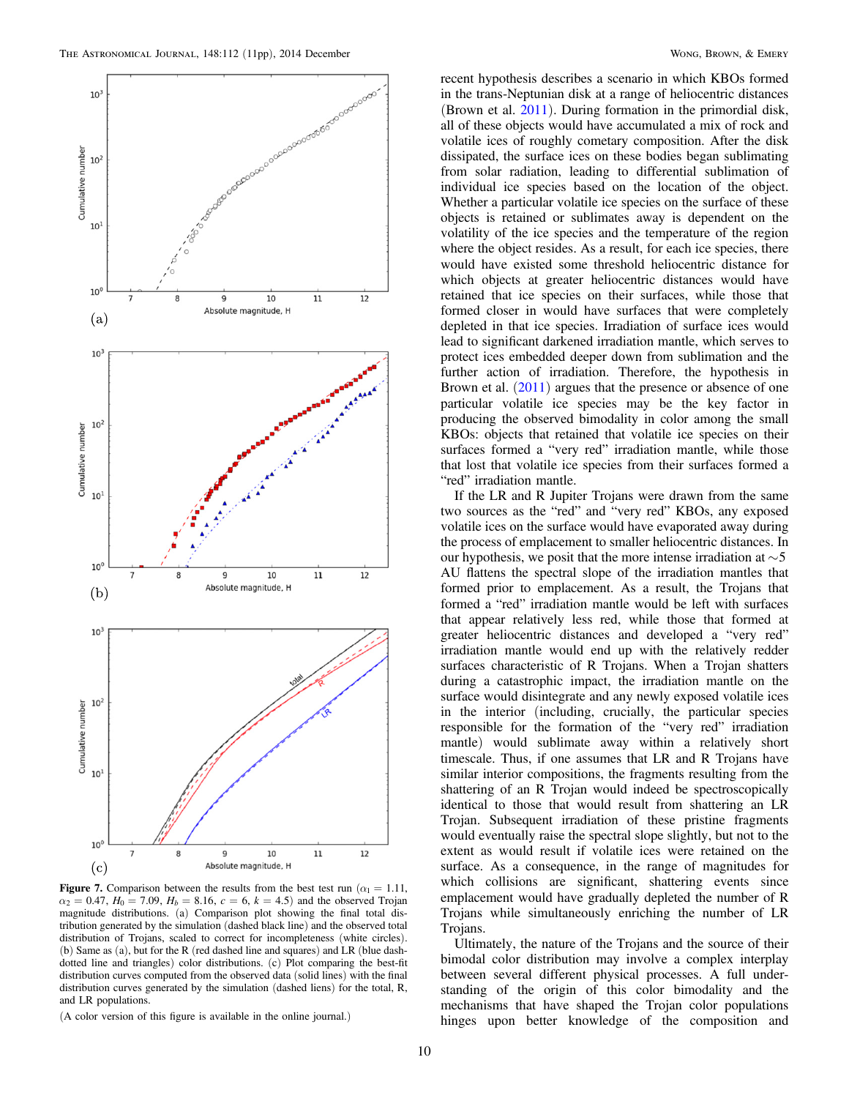<span id="page-9-0"></span>

**Figure 7.** Comparison between the results from the best test run ( $\alpha_1 = 1.11$ ,  $\alpha_2 = 0.47$ ,  $H_0 = 7.09$ ,  $H_b = 8.16$ ,  $c = 6$ ,  $k = 4.5$ ) and the observed Trojan magnitude distributions. (a) Comparison plot showing the final total distribution generated by the simulation (dashed black line) and the observed total distribution of Trojans, scaled to correct for incompleteness (white circles). (b) Same as (a), but for the R (red dashed line and squares) and LR (blue dashdotted line and triangles) color distributions. (c) Plot comparing the best-fit distribution curves computed from the observed data (solid lines) with the final distribution curves generated by the simulation (dashed liens) for the total, R, and LR populations.

(A color version of this figure is available in the online journal.)

recent hypothesis describes a scenario in which KBOs formed in the trans-Neptunian disk at a range of heliocentric distances (Brown et al. [2011](#page-10-0)). During formation in the primordial disk, all of these objects would have accumulated a mix of rock and volatile ices of roughly cometary composition. After the disk dissipated, the surface ices on these bodies began sublimating from solar radiation, leading to differential sublimation of individual ice species based on the location of the object. Whether a particular volatile ice species on the surface of these objects is retained or sublimates away is dependent on the volatility of the ice species and the temperature of the region where the object resides. As a result, for each ice species, there would have existed some threshold heliocentric distance for which objects at greater heliocentric distances would have retained that ice species on their surfaces, while those that formed closer in would have surfaces that were completely depleted in that ice species. Irradiation of surface ices would lead to significant darkened irradiation mantle, which serves to protect ices embedded deeper down from sublimation and the further action of irradiation. Therefore, the hypothesis in Brown et al.  $(2011)$  $(2011)$  $(2011)$  argues that the presence or absence of one particular volatile ice species may be the key factor in producing the observed bimodality in color among the small KBOs: objects that retained that volatile ice species on their surfaces formed a "very red" irradiation mantle, while those that lost that volatile ice species from their surfaces formed a "red" irradiation mantle.

If the LR and R Jupiter Trojans were drawn from the same two sources as the "red" and "very red" KBOs, any exposed volatile ices on the surface would have evaporated away during the process of emplacement to smaller heliocentric distances. In our hypothesis, we posit that the more intense irradiation at  $\sim$  5 AU flattens the spectral slope of the irradiation mantles that formed prior to emplacement. As a result, the Trojans that formed a "red" irradiation mantle would be left with surfaces that appear relatively less red, while those that formed at greater heliocentric distances and developed a "very red" irradiation mantle would end up with the relatively redder surfaces characteristic of R Trojans. When a Trojan shatters during a catastrophic impact, the irradiation mantle on the surface would disintegrate and any newly exposed volatile ices in the interior (including, crucially, the particular species responsible for the formation of the "very red" irradiation mantle) would sublimate away within a relatively short timescale. Thus, if one assumes that LR and R Trojans have similar interior compositions, the fragments resulting from the shattering of an R Trojan would indeed be spectroscopically identical to those that would result from shattering an LR Trojan. Subsequent irradiation of these pristine fragments would eventually raise the spectral slope slightly, but not to the extent as would result if volatile ices were retained on the surface. As a consequence, in the range of magnitudes for which collisions are significant, shattering events since emplacement would have gradually depleted the number of R Trojans while simultaneously enriching the number of LR Trojans.

Ultimately, the nature of the Trojans and the source of their bimodal color distribution may involve a complex interplay between several different physical processes. A full understanding of the origin of this color bimodality and the mechanisms that have shaped the Trojan color populations hinges upon better knowledge of the composition and